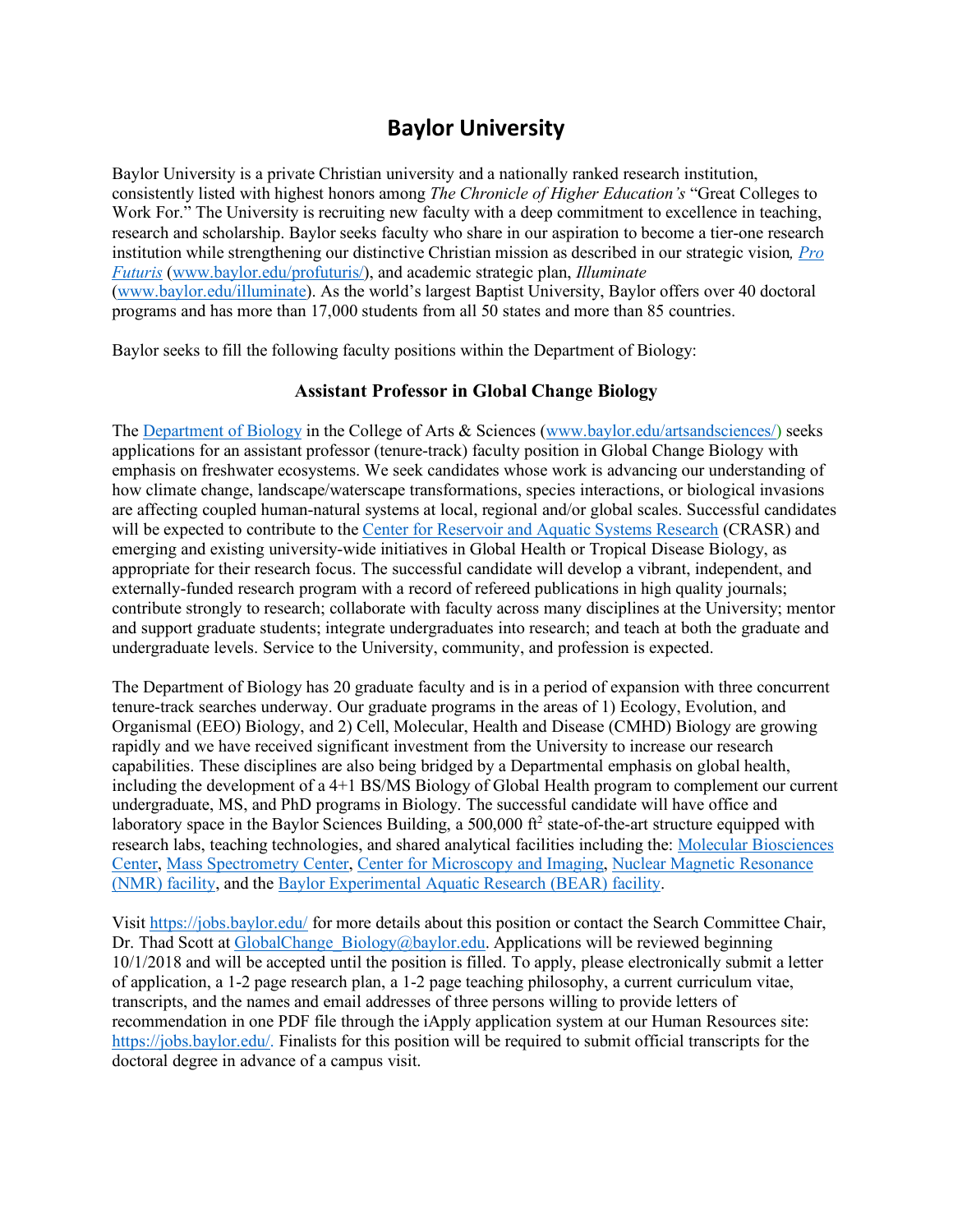# **Baylor University**

Baylor University is a private Christian university and a nationally ranked research institution, consistently listed with highest honors among *The Chronicle of Higher Education's* "Great Colleges to Work For." The University is recruiting new faculty with a deep commitment to excellence in teaching, research and scholarship. Baylor seeks faculty who share in our aspiration to become a tier-one research institution while strengthening our distinctive Christian mission as described in our strategic vision*, Pro Futuris* (www.baylor.edu/profuturis/), and academic strategic plan, *Illuminate* (www.baylor.edu/illuminate). As the world's largest Baptist University, Baylor offers over 40 doctoral programs and has more than 17,000 students from all 50 states and more than 85 countries.

Baylor seeks to fill the following faculty positions within the Department of Biology:

### **Assistant Professor in Global Change Biology**

The Department of Biology in the College of Arts & Sciences (www.baylor.edu/artsandsciences/) seeks applications for an assistant professor (tenure-track) faculty position in Global Change Biology with emphasis on freshwater ecosystems. We seek candidates whose work is advancing our understanding of how climate change, landscape/waterscape transformations, species interactions, or biological invasions are affecting coupled human-natural systems at local, regional and/or global scales. Successful candidates will be expected to contribute to the Center for Reservoir and Aquatic Systems Research (CRASR) and emerging and existing university-wide initiatives in Global Health or Tropical Disease Biology, as appropriate for their research focus. The successful candidate will develop a vibrant, independent, and externally-funded research program with a record of refereed publications in high quality journals; contribute strongly to research; collaborate with faculty across many disciplines at the University; mentor and support graduate students; integrate undergraduates into research; and teach at both the graduate and undergraduate levels. Service to the University, community, and profession is expected.

The Department of Biology has 20 graduate faculty and is in a period of expansion with three concurrent tenure-track searches underway. Our graduate programs in the areas of 1) Ecology, Evolution, and Organismal (EEO) Biology, and 2) Cell, Molecular, Health and Disease (CMHD) Biology are growing rapidly and we have received significant investment from the University to increase our research capabilities. These disciplines are also being bridged by a Departmental emphasis on global health, including the development of a 4+1 BS/MS Biology of Global Health program to complement our current undergraduate, MS, and PhD programs in Biology. The successful candidate will have office and laboratory space in the Baylor Sciences Building, a  $500,000$  ft<sup>2</sup> state-of-the-art structure equipped with research labs, teaching technologies, and shared analytical facilities including the: Molecular Biosciences Center, Mass Spectrometry Center, Center for Microscopy and Imaging, Nuclear Magnetic Resonance (NMR) facility, and the Baylor Experimental Aquatic Research (BEAR) facility.

Visit https://jobs.baylor.edu/ for more details about this position or contact the Search Committee Chair, Dr. Thad Scott at GlobalChange\_Biology@baylor.edu. Applications will be reviewed beginning 10/1/2018 and will be accepted until the position is filled. To apply, please electronically submit a letter of application, a 1-2 page research plan, a 1-2 page teaching philosophy, a current curriculum vitae, transcripts, and the names and email addresses of three persons willing to provide letters of recommendation in one PDF file through the iApply application system at our Human Resources site: https://jobs.baylor.edu/. Finalists for this position will be required to submit official transcripts for the doctoral degree in advance of a campus visit.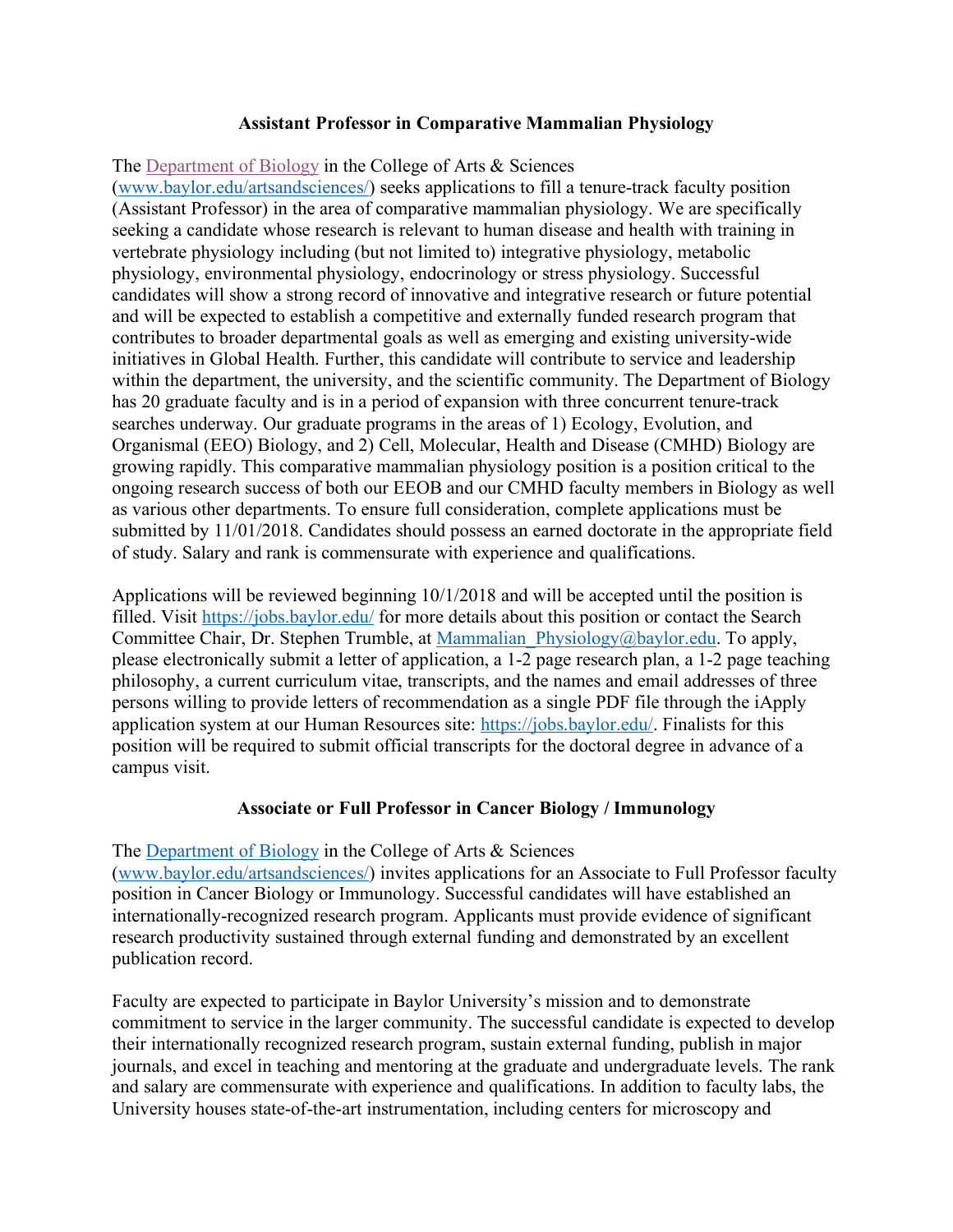#### **Assistant Professor in Comparative Mammalian Physiology**

The Department of Biology in the College of Arts & Sciences (www.baylor.edu/artsandsciences/) seeks applications to fill a tenure-track faculty position (Assistant Professor) in the area of comparative mammalian physiology. We are specifically seeking a candidate whose research is relevant to human disease and health with training in vertebrate physiology including (but not limited to) integrative physiology, metabolic physiology, environmental physiology, endocrinology or stress physiology. Successful candidates will show a strong record of innovative and integrative research or future potential and will be expected to establish a competitive and externally funded research program that contributes to broader departmental goals as well as emerging and existing university-wide initiatives in Global Health. Further, this candidate will contribute to service and leadership within the department, the university, and the scientific community. The Department of Biology has 20 graduate faculty and is in a period of expansion with three concurrent tenure-track searches underway. Our graduate programs in the areas of 1) Ecology, Evolution, and Organismal (EEO) Biology, and 2) Cell, Molecular, Health and Disease (CMHD) Biology are growing rapidly. This comparative mammalian physiology position is a position critical to the ongoing research success of both our EEOB and our CMHD faculty members in Biology as well as various other departments. To ensure full consideration, complete applications must be submitted by 11/01/2018. Candidates should possess an earned doctorate in the appropriate field of study. Salary and rank is commensurate with experience and qualifications.

Applications will be reviewed beginning 10/1/2018 and will be accepted until the position is filled. Visit https://jobs.baylor.edu/ for more details about this position or contact the Search Committee Chair, Dr. Stephen Trumble, at Mammalian Physiology@baylor.edu. To apply, please electronically submit a letter of application, a 1-2 page research plan, a 1-2 page teaching philosophy, a current curriculum vitae, transcripts, and the names and email addresses of three persons willing to provide letters of recommendation as a single PDF file through the iApply application system at our Human Resources site: https://jobs.baylor.edu/. Finalists for this position will be required to submit official transcripts for the doctoral degree in advance of a campus visit.

# **Associate or Full Professor in Cancer Biology / Immunology**

# The Department of Biology in the College of Arts & Sciences

(www.baylor.edu/artsandsciences/) invites applications for an Associate to Full Professor faculty position in Cancer Biology or Immunology. Successful candidates will have established an internationally-recognized research program. Applicants must provide evidence of significant research productivity sustained through external funding and demonstrated by an excellent publication record.

Faculty are expected to participate in Baylor University's mission and to demonstrate commitment to service in the larger community. The successful candidate is expected to develop their internationally recognized research program, sustain external funding, publish in major journals, and excel in teaching and mentoring at the graduate and undergraduate levels. The rank and salary are commensurate with experience and qualifications. In addition to faculty labs, the University houses state-of-the-art instrumentation, including centers for microscopy and